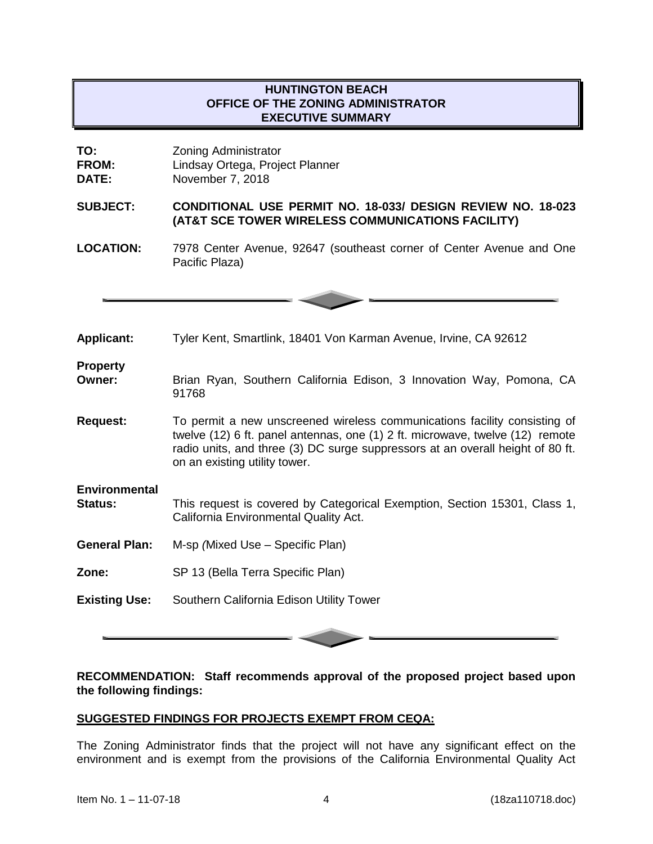# **HUNTINGTON BEACH OFFICE OF THE ZONING ADMINISTRATOR EXECUTIVE SUMMARY**

| TO:          | <b>Zoning Administrator</b>     |
|--------------|---------------------------------|
| <b>FROM:</b> | Lindsay Ortega, Project Planner |
| <b>DATE:</b> | November 7, 2018                |

#### **SUBJECT: CONDITIONAL USE PERMIT NO. 18-033/ DESIGN REVIEW NO. 18-023 (AT&T SCE TOWER WIRELESS COMMUNICATIONS FACILITY)**

**LOCATION:** 7978 Center Avenue, 92647 (southeast corner of Center Avenue and One Pacific Plaza)

**Applicant:** Tyler Kent, Smartlink, 18401 Von Karman Avenue, Irvine, CA 92612

**Property Owner:** Brian Ryan, Southern California Edison, 3 Innovation Way, Pomona, CA 91768

**Request:** To permit a new unscreened wireless communications facility consisting of twelve (12) 6 ft. panel antennas, one (1) 2 ft. microwave, twelve (12) remote radio units, and three (3) DC surge suppressors at an overall height of 80 ft. on an existing utility tower.

**Environmental Status:** This request is covered by Categorical Exemption, Section 15301, Class 1, California Environmental Quality Act.

- **General Plan:** M-sp *(*Mixed Use Specific Plan)
- **Zone:** SP 13 (Bella Terra Specific Plan)

**Existing Use:** Southern California Edison Utility Tower

**RECOMMENDATION: Staff recommends approval of the proposed project based upon the following findings:**

### **SUGGESTED FINDINGS FOR PROJECTS EXEMPT FROM CEQA:**

The Zoning Administrator finds that the project will not have any significant effect on the environment and is exempt from the provisions of the California Environmental Quality Act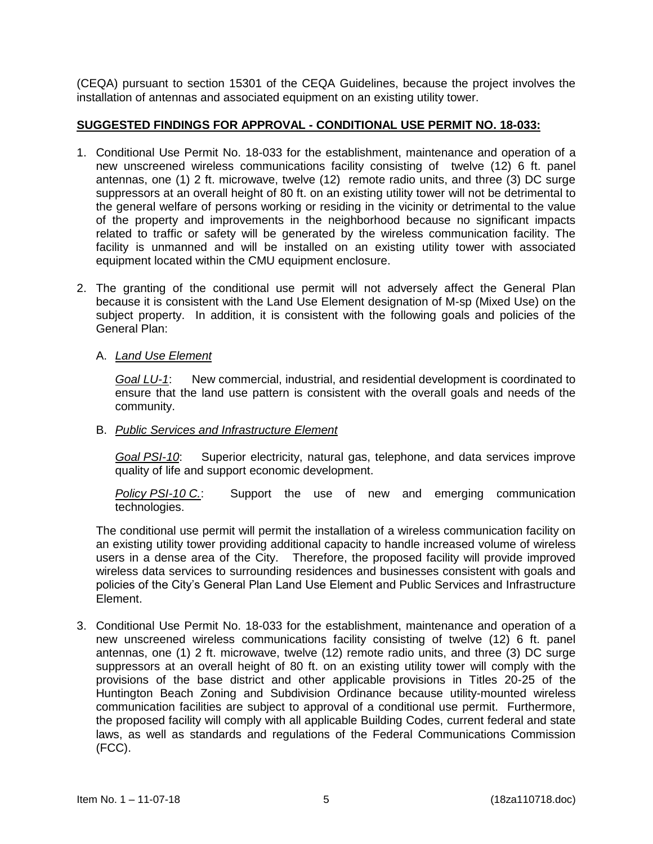(CEQA) pursuant to section 15301 of the CEQA Guidelines, because the project involves the installation of antennas and associated equipment on an existing utility tower.

## **SUGGESTED FINDINGS FOR APPROVAL - CONDITIONAL USE PERMIT NO. 18-033:**

- 1. Conditional Use Permit No. 18-033 for the establishment, maintenance and operation of a new unscreened wireless communications facility consisting of twelve (12) 6 ft. panel antennas, one (1) 2 ft. microwave, twelve (12) remote radio units, and three (3) DC surge suppressors at an overall height of 80 ft. on an existing utility tower will not be detrimental to the general welfare of persons working or residing in the vicinity or detrimental to the value of the property and improvements in the neighborhood because no significant impacts related to traffic or safety will be generated by the wireless communication facility. The facility is unmanned and will be installed on an existing utility tower with associated equipment located within the CMU equipment enclosure.
- 2. The granting of the conditional use permit will not adversely affect the General Plan because it is consistent with the Land Use Element designation of M-sp (Mixed Use) on the subject property. In addition, it is consistent with the following goals and policies of the General Plan:

### A. *Land Use Element*

*Goal LU-1*: New commercial, industrial, and residential development is coordinated to ensure that the land use pattern is consistent with the overall goals and needs of the community.

### B. *Public Services and Infrastructure Element*

*Goal PSI-10*: Superior electricity, natural gas, telephone, and data services improve quality of life and support economic development.

*Policy PSI-10 C.*: Support the use of new and emerging communication technologies.

The conditional use permit will permit the installation of a wireless communication facility on an existing utility tower providing additional capacity to handle increased volume of wireless users in a dense area of the City. Therefore, the proposed facility will provide improved wireless data services to surrounding residences and businesses consistent with goals and policies of the City's General Plan Land Use Element and Public Services and Infrastructure Element.

3. Conditional Use Permit No. 18-033 for the establishment, maintenance and operation of a new unscreened wireless communications facility consisting of twelve (12) 6 ft. panel antennas, one (1) 2 ft. microwave, twelve (12) remote radio units, and three (3) DC surge suppressors at an overall height of 80 ft. on an existing utility tower will comply with the provisions of the base district and other applicable provisions in Titles 20-25 of the Huntington Beach Zoning and Subdivision Ordinance because utility-mounted wireless communication facilities are subject to approval of a conditional use permit. Furthermore, the proposed facility will comply with all applicable Building Codes, current federal and state laws, as well as standards and regulations of the Federal Communications Commission (FCC).